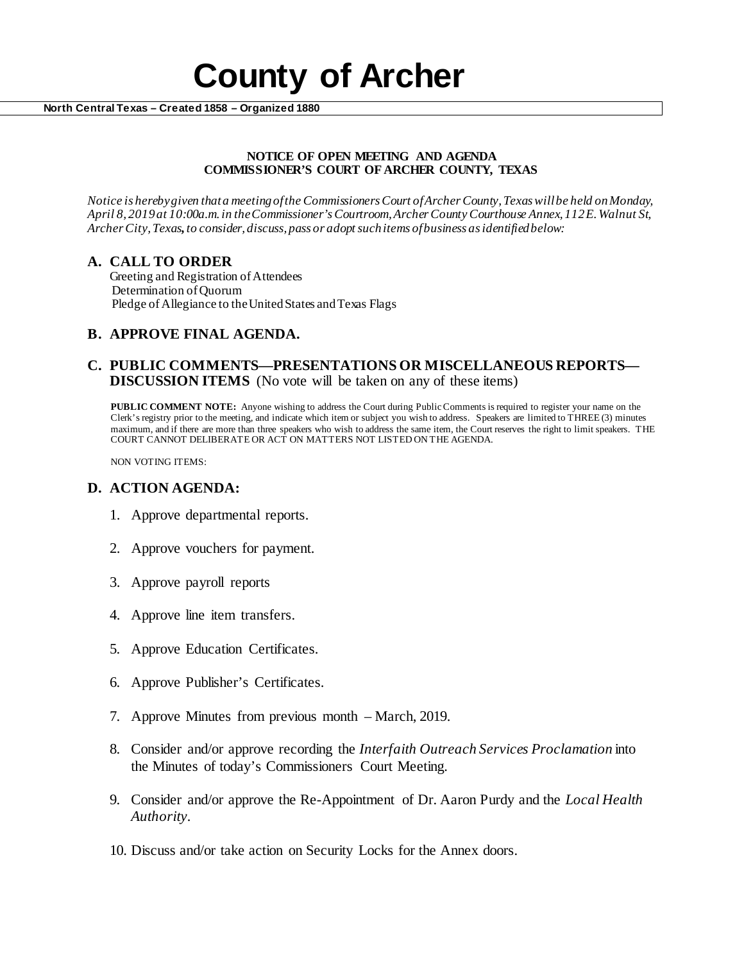# **County of Archer North Central Texas – Created 1858 – Organized 1880**

#### **NOTICE OF OPEN MEETING AND AGENDA COMMISSIONER'S COURT OF ARCHER COUNTY, TEXAS**

*Notice is hereby given that a meeting of the Commissioners Court of Archer County, Texas will be held onMonday, April 8, 2019at 10:00a.m. in the Commissioner's Courtroom, Archer County Courthouse Annex, 112 E. Walnut St, Archer City, Texas, to consider, discuss, pass or adopt such items of business as identified below:*

# **A. CALL TO ORDER**

 Greeting and Registration of Attendees Determination of Quorum Pledge of Allegiance to the United States and Texas Flags

# **B. APPROVE FINAL AGENDA.**

# **C. PUBLIC COMMENTS—PRESENTATIONS OR MISCELLANEOUS REPORTS— DISCUSSION ITEMS** (No vote will be taken on any of these items)

**PUBLIC COMMENT NOTE:** Anyone wishing to address the Court during Public Comments is required to register your name on the Clerk's registry prior to the meeting, and indicate which item or subject you wish to address. Speakers are limited to THREE (3) minutes maximum, and if there are more than three speakers who wish to address the same item, the Court reserves the right to limit speakers. THE COURT CANNOT DELIBERATE OR ACT ON MATTERS NOT LISTED ON THE AGENDA.

NON VOTING ITEMS:

### **D. ACTION AGENDA:**

- 1. Approve departmental reports.
- 2. Approve vouchers for payment.
- 3. Approve payroll reports
- 4. Approve line item transfers.
- 5. Approve Education Certificates.
- 6. Approve Publisher's Certificates.
- 7. Approve Minutes from previous month March, 2019.
- 8. Consider and/or approve recording the *Interfaith Outreach Services Proclamation* into the Minutes of today's Commissioners Court Meeting.
- 9. Consider and/or approve the Re-Appointment of Dr. Aaron Purdy and the *Local Health Authority.*
- 10. Discuss and/or take action on Security Locks for the Annex doors.